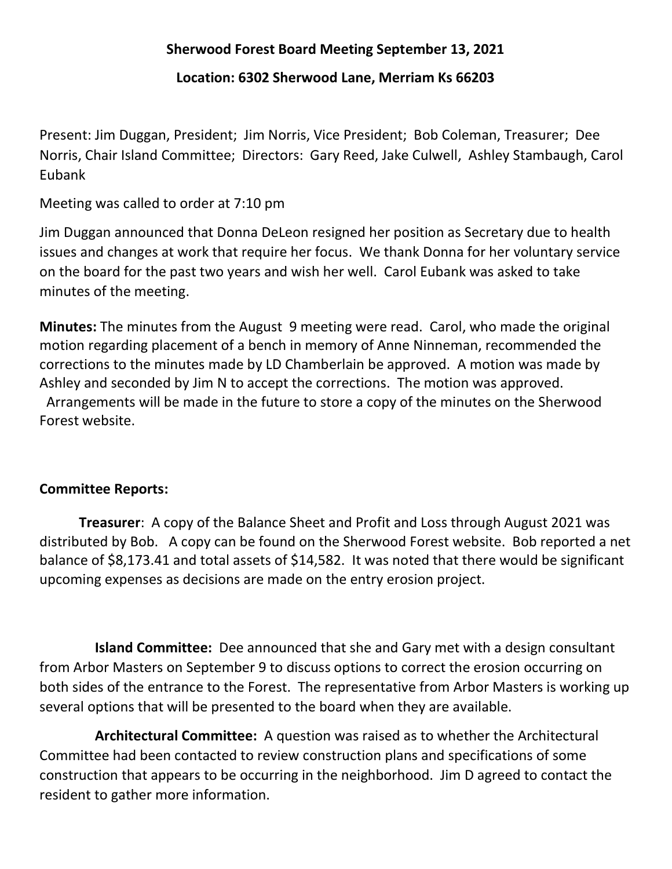## Sherwood Forest Board Meeting September 13, 2021

Location: 6302 Sherwood Lane, Merriam Ks 66203

Present: Jim Duggan, President; Jim Norris, Vice President; Bob Coleman, Treasurer; Dee Norris, Chair Island Committee; Directors: Gary Reed, Jake Culwell, Ashley Stambaugh, Carol Eubank

Meeting was called to order at 7:10 pm

Jim Duggan announced that Donna DeLeon resigned her position as Secretary due to health issues and changes at work that require her focus. We thank Donna for her voluntary service on the board for the past two years and wish her well. Carol Eubank was asked to take minutes of the meeting.

Minutes: The minutes from the August 9 meeting were read. Carol, who made the original motion regarding placement of a bench in memory of Anne Ninneman, recommended the corrections to the minutes made by LD Chamberlain be approved. A motion was made by Ashley and seconded by Jim N to accept the corrections. The motion was approved. Arrangements will be made in the future to store a copy of the minutes on the Sherwood Forest website.

## Committee Reports:

Treasurer: A copy of the Balance Sheet and Profit and Loss through August 2021 was distributed by Bob. A copy can be found on the Sherwood Forest website. Bob reported a net balance of \$8,173.41 and total assets of \$14,582. It was noted that there would be significant upcoming expenses as decisions are made on the entry erosion project.

Island Committee: Dee announced that she and Gary met with a design consultant from Arbor Masters on September 9 to discuss options to correct the erosion occurring on both sides of the entrance to the Forest. The representative from Arbor Masters is working up several options that will be presented to the board when they are available.

 Architectural Committee: A question was raised as to whether the Architectural Committee had been contacted to review construction plans and specifications of some construction that appears to be occurring in the neighborhood. Jim D agreed to contact the resident to gather more information.